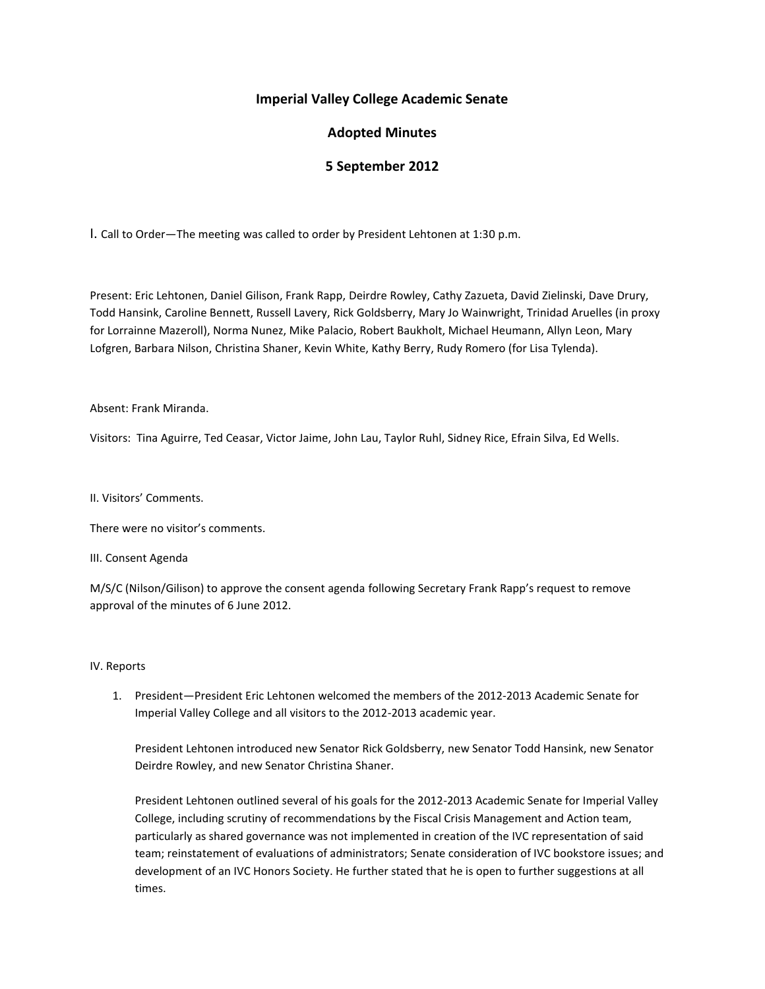## **Imperial Valley College Academic Senate**

# **Adopted Minutes**

## **5 September 2012**

I. Call to Order—The meeting was called to order by President Lehtonen at 1:30 p.m.

Present: Eric Lehtonen, Daniel Gilison, Frank Rapp, Deirdre Rowley, Cathy Zazueta, David Zielinski, Dave Drury, Todd Hansink, Caroline Bennett, Russell Lavery, Rick Goldsberry, Mary Jo Wainwright, Trinidad Aruelles (in proxy for Lorrainne Mazeroll), Norma Nunez, Mike Palacio, Robert Baukholt, Michael Heumann, Allyn Leon, Mary Lofgren, Barbara Nilson, Christina Shaner, Kevin White, Kathy Berry, Rudy Romero (for Lisa Tylenda).

#### Absent: Frank Miranda.

Visitors: Tina Aguirre, Ted Ceasar, Victor Jaime, John Lau, Taylor Ruhl, Sidney Rice, Efrain Silva, Ed Wells.

II. Visitors' Comments.

There were no visitor's comments.

III. Consent Agenda

M/S/C (Nilson/Gilison) to approve the consent agenda following Secretary Frank Rapp's request to remove approval of the minutes of 6 June 2012.

#### IV. Reports

1. President—President Eric Lehtonen welcomed the members of the 2012-2013 Academic Senate for Imperial Valley College and all visitors to the 2012-2013 academic year.

President Lehtonen introduced new Senator Rick Goldsberry, new Senator Todd Hansink, new Senator Deirdre Rowley, and new Senator Christina Shaner.

President Lehtonen outlined several of his goals for the 2012-2013 Academic Senate for Imperial Valley College, including scrutiny of recommendations by the Fiscal Crisis Management and Action team, particularly as shared governance was not implemented in creation of the IVC representation of said team; reinstatement of evaluations of administrators; Senate consideration of IVC bookstore issues; and development of an IVC Honors Society. He further stated that he is open to further suggestions at all times.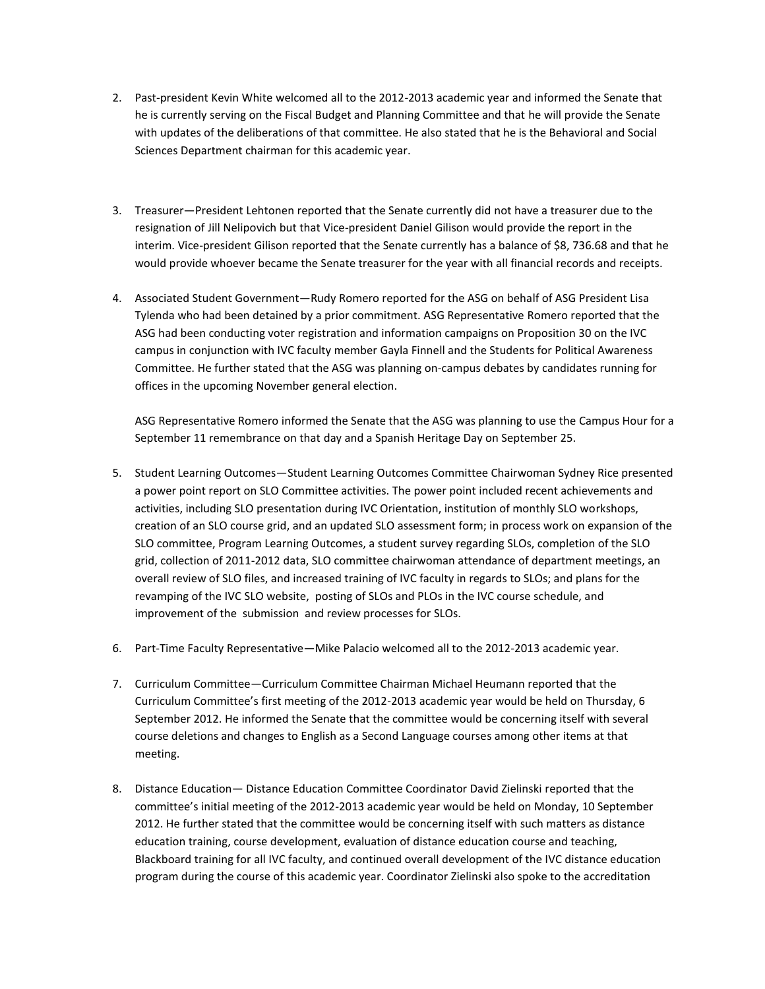- 2. Past-president Kevin White welcomed all to the 2012-2013 academic year and informed the Senate that he is currently serving on the Fiscal Budget and Planning Committee and that he will provide the Senate with updates of the deliberations of that committee. He also stated that he is the Behavioral and Social Sciences Department chairman for this academic year.
- 3. Treasurer—President Lehtonen reported that the Senate currently did not have a treasurer due to the resignation of Jill Nelipovich but that Vice-president Daniel Gilison would provide the report in the interim. Vice-president Gilison reported that the Senate currently has a balance of \$8, 736.68 and that he would provide whoever became the Senate treasurer for the year with all financial records and receipts.
- 4. Associated Student Government—Rudy Romero reported for the ASG on behalf of ASG President Lisa Tylenda who had been detained by a prior commitment. ASG Representative Romero reported that the ASG had been conducting voter registration and information campaigns on Proposition 30 on the IVC campus in conjunction with IVC faculty member Gayla Finnell and the Students for Political Awareness Committee. He further stated that the ASG was planning on-campus debates by candidates running for offices in the upcoming November general election.

ASG Representative Romero informed the Senate that the ASG was planning to use the Campus Hour for a September 11 remembrance on that day and a Spanish Heritage Day on September 25.

- 5. Student Learning Outcomes—Student Learning Outcomes Committee Chairwoman Sydney Rice presented a power point report on SLO Committee activities. The power point included recent achievements and activities, including SLO presentation during IVC Orientation, institution of monthly SLO workshops, creation of an SLO course grid, and an updated SLO assessment form; in process work on expansion of the SLO committee, Program Learning Outcomes, a student survey regarding SLOs, completion of the SLO grid, collection of 2011-2012 data, SLO committee chairwoman attendance of department meetings, an overall review of SLO files, and increased training of IVC faculty in regards to SLOs; and plans for the revamping of the IVC SLO website, posting of SLOs and PLOs in the IVC course schedule, and improvement of the submission and review processes for SLOs.
- 6. Part-Time Faculty Representative—Mike Palacio welcomed all to the 2012-2013 academic year.
- 7. Curriculum Committee—Curriculum Committee Chairman Michael Heumann reported that the Curriculum Committee's first meeting of the 2012-2013 academic year would be held on Thursday, 6 September 2012. He informed the Senate that the committee would be concerning itself with several course deletions and changes to English as a Second Language courses among other items at that meeting.
- 8. Distance Education— Distance Education Committee Coordinator David Zielinski reported that the committee's initial meeting of the 2012-2013 academic year would be held on Monday, 10 September 2012. He further stated that the committee would be concerning itself with such matters as distance education training, course development, evaluation of distance education course and teaching, Blackboard training for all IVC faculty, and continued overall development of the IVC distance education program during the course of this academic year. Coordinator Zielinski also spoke to the accreditation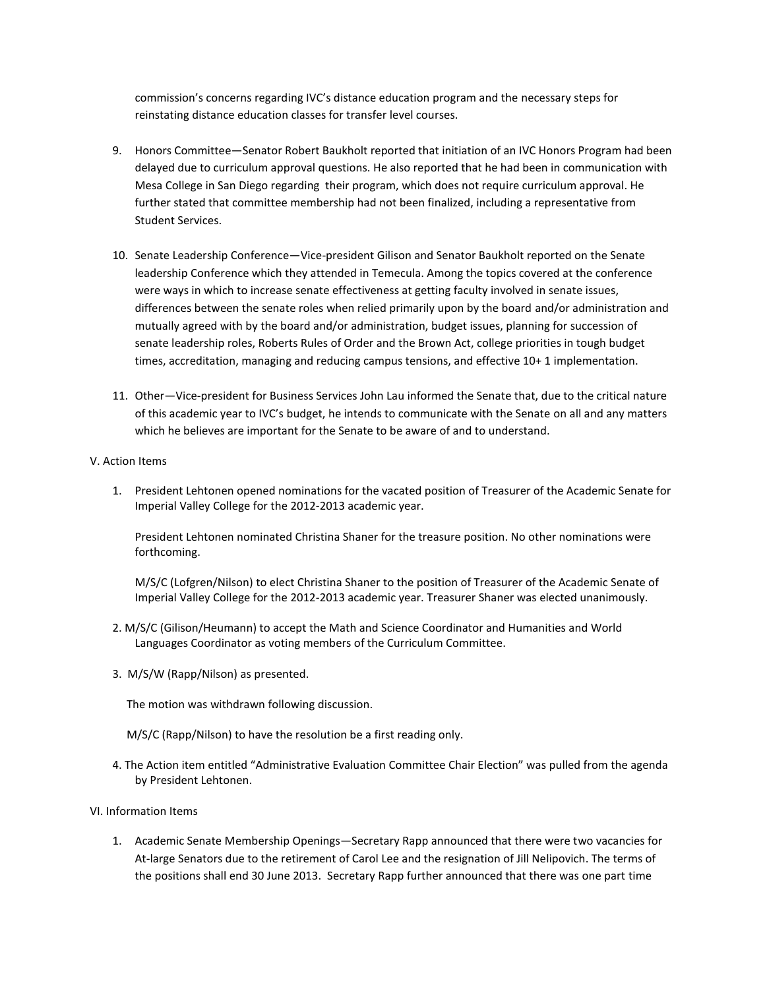commission's concerns regarding IVC's distance education program and the necessary steps for reinstating distance education classes for transfer level courses.

- 9. Honors Committee—Senator Robert Baukholt reported that initiation of an IVC Honors Program had been delayed due to curriculum approval questions. He also reported that he had been in communication with Mesa College in San Diego regarding their program, which does not require curriculum approval. He further stated that committee membership had not been finalized, including a representative from Student Services.
- 10. Senate Leadership Conference—Vice-president Gilison and Senator Baukholt reported on the Senate leadership Conference which they attended in Temecula. Among the topics covered at the conference were ways in which to increase senate effectiveness at getting faculty involved in senate issues, differences between the senate roles when relied primarily upon by the board and/or administration and mutually agreed with by the board and/or administration, budget issues, planning for succession of senate leadership roles, Roberts Rules of Order and the Brown Act, college priorities in tough budget times, accreditation, managing and reducing campus tensions, and effective 10+ 1 implementation.
- 11. Other—Vice-president for Business Services John Lau informed the Senate that, due to the critical nature of this academic year to IVC's budget, he intends to communicate with the Senate on all and any matters which he believes are important for the Senate to be aware of and to understand.
- V. Action Items
	- 1. President Lehtonen opened nominations for the vacated position of Treasurer of the Academic Senate for Imperial Valley College for the 2012-2013 academic year.

President Lehtonen nominated Christina Shaner for the treasure position. No other nominations were forthcoming.

M/S/C (Lofgren/Nilson) to elect Christina Shaner to the position of Treasurer of the Academic Senate of Imperial Valley College for the 2012-2013 academic year. Treasurer Shaner was elected unanimously.

- 2. M/S/C (Gilison/Heumann) to accept the Math and Science Coordinator and Humanities and World Languages Coordinator as voting members of the Curriculum Committee.
- 3. M/S/W (Rapp/Nilson) as presented.

The motion was withdrawn following discussion.

- M/S/C (Rapp/Nilson) to have the resolution be a first reading only.
- 4. The Action item entitled "Administrative Evaluation Committee Chair Election" was pulled from the agenda by President Lehtonen.
- VI. Information Items
	- 1. Academic Senate Membership Openings—Secretary Rapp announced that there were two vacancies for At-large Senators due to the retirement of Carol Lee and the resignation of Jill Nelipovich. The terms of the positions shall end 30 June 2013. Secretary Rapp further announced that there was one part time